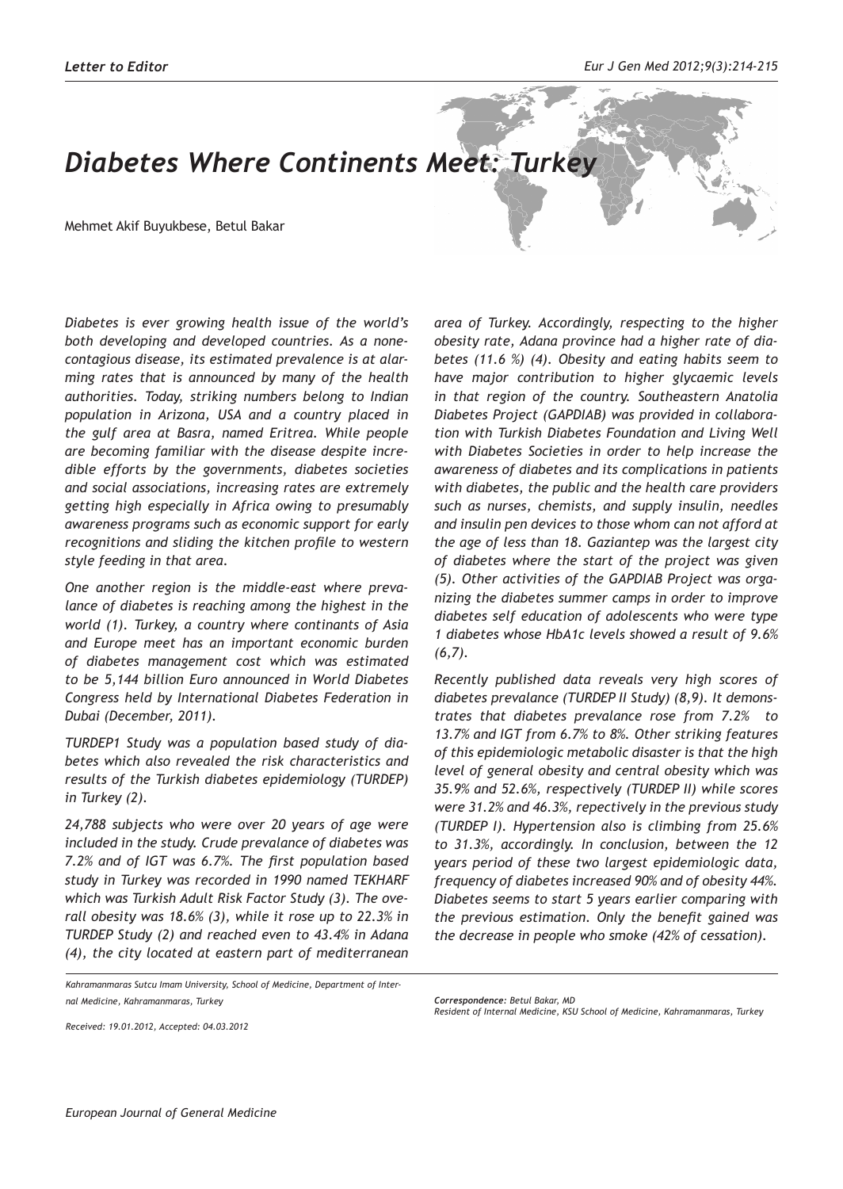## *Diabetes Where Continents Meet: Turkey*

Mehmet Akif Buyukbese, Betul Bakar

*Diabetes is ever growing health issue of the world's both developing and developed countries. As a nonecontagious disease, its estimated prevalence is at alarming rates that is announced by many of the health authorities. Today, striking numbers belong to Indian population in Arizona, USA and a country placed in the gulf area at Basra, named Eritrea. While people are becoming familiar with the disease despite incredible efforts by the governments, diabetes societies and social associations, increasing rates are extremely getting high especially in Africa owing to presumably awareness programs such as economic support for early recognitions and sliding the kitchen profile to western style feeding in that area.*

*One another region is the middle-east where prevalance of diabetes is reaching among the highest in the world (1). Turkey, a country where continants of Asia and Europe meet has an important economic burden of diabetes management cost which was estimated to be 5,144 billion Euro announced in World Diabetes Congress held by International Diabetes Federation in Dubai (December, 2011).*

*TURDEP1 Study was a population based study of diabetes which also revealed the risk characteristics and results of the Turkish diabetes epidemiology (TURDEP) in Turkey (2).*

*24,788 subjects who were over 20 years of age were included in the study. Crude prevalance of diabetes was 7.2% and of IGT was 6.7%. The first population based study in Turkey was recorded in 1990 named TEKHARF which was Turkish Adult Risk Factor Study (3). The overall obesity was 18.6% (3), while it rose up to 22.3% in TURDEP Study (2) and reached even to 43.4% in Adana (4), the city located at eastern part of mediterranean* 

```
Received: 19.01.2012, Accepted: 04.03.2012
```
*area of Turkey. Accordingly, respecting to the higher obesity rate, Adana province had a higher rate of diabetes (11.6 %) (4). Obesity and eating habits seem to have major contribution to higher glycaemic levels in that region of the country. Southeastern Anatolia Diabetes Project (GAPDIAB) was provided in collaboration with Turkish Diabetes Foundation and Living Well with Diabetes Societies in order to help increase the awareness of diabetes and its complications in patients with diabetes, the public and the health care providers such as nurses, chemists, and supply insulin, needles and insulin pen devices to those whom can not afford at the age of less than 18. Gaziantep was the largest city of diabetes where the start of the project was given (5). Other activities of the GAPDIAB Project was organizing the diabetes summer camps in order to improve diabetes self education of adolescents who were type 1 diabetes whose HbA1c levels showed a result of 9.6% (6,7).* 

*Recently published data reveals very high scores of diabetes prevalance (TURDEP II Study) (8,9). It demonstrates that diabetes prevalance rose from 7.2% to 13.7% and IGT from 6.7% to 8%. Other striking features of this epidemiologic metabolic disaster is that the high level of general obesity and central obesity which was 35.9% and 52.6%, respectively (TURDEP II) while scores were 31.2% and 46.3%, repectively in the previous study (TURDEP I). Hypertension also is climbing from 25.6% to 31.3%, accordingly. In conclusion, between the 12 years period of these two largest epidemiologic data, frequency of diabetes increased 90% and of obesity 44%. Diabetes seems to start 5 years earlier comparing with the previous estimation. Only the benefit gained was the decrease in people who smoke (42% of cessation).* 

*Kahramanmaras Sutcu Imam University, School of Medicine, Department of Internal Medicine, Kahramanmaras, Turkey*

*Correspondence: Betul Bakar, MD*

*Resident of Internal Medicine, KSU School of Medicine, Kahramanmaras, Turkey*